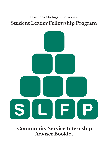## Northern Michigan University **Student Leader Fellowship Program**



 **Community Service Internship Adviser Booklet**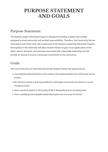## **PURPOSE STATEMENT AND GOALS**

#### Purpose Statement:

The Student Leader Fellowship Program is designed to develop a leader who is better equipped to meet community and societal responsibilities. Therefore, the Community Service Internship is one of the most vital components of the Student Leadership Fellowship Program. Participation in the internship will allow Student Fellows to gain a true appreciation of the ethics, values, demands, and processes associated with responsible leadership and will provide an avenue to ensure a continued commitment to the community.

#### Goals:

The Community Service Internship will provide Student Fellows the opportunity to:

- 1. Use acquired leadership skills in the creation and implementation of a community service project.
- 2. Be directly involved in and responsible for meaningful community enrichment or social 2. change activities.
- 3. Have a positive impact on the quality of life in Marquette and surrounding areas.
- 4. Have a satisfying and enjoyable leadership experience in an area of interest.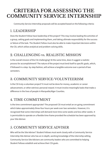## **CRITERIA FOR ASSESSING THE COMMUNITY SERVICE INTERNSHIP**

Community Service Internship proposals will be accepted based on the following criteria:

#### 1. LEADERSHIP

Does the Student Fellow have leadership of the project? This may involve leading the activities of a group, setting goals and implementing them, and taking ultimate responsibility for the success or failure of the task. The Student Fellow must also be able to make important decisions within the CSI, which utilize analytical and problem-solving skills.

#### 2. CHALLENGING vs. REALISTIC MISSION

Is the overall mission of the CSI challenging? At the same time, does it suggest a realistic process for accomplishment? The nature of the project must lend itself to specific goals, which, if followed in a step- by-step fashion, will achieve a tangible outcome over a period of two semesters.

#### 3. COMMUNITY SERVICE/VOLUNTEERISM

Is the CSI truly a volunteer project? It must not be done for money, academic or career advancement, or other extrinsic personal reward. It must involve meaningful tasks that make a difference in the lives of people in Marquette/Alger Counties.

#### 4. TIME COMMITMENT

Is the time commitment appropriate? The proposed CSI must entail an on-going commitment which takes approximately three-four hours per week over two semesters. However, it is recognized that some internships will demand more time some weeks and less other weeks. It is permissible to operate on a flexible time-frame provided the schedule has been approved by your Site Adviser.

#### 5. COMMUNITY SERVICE ADVISER

Who will be the Site Adviser? Student Fellows must work closely with a Community Service Internship Site Adviser who has an in-depth, working knowledge of the internship setting. Community Service Site Advisers are community leaders who are committed to helping Student Fellows establish and achieve their CSI goals.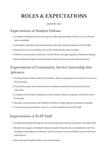# **ROLES & EXPECTATIONS**

September-April

#### Expectations of Student Fellows:

- 1. Complete a detailed Service Learning Form after approximately 10 hours of your CSI have been completed.
- 2. Participate in Monthly Internship Meetings with other Student Fellows and SLFP staff.
- 3. Attend a one-on-one meeting with an SLFP staff member each semester.
- 4. Maintain communication with your CSI Site Adviser through regularly scheduled meetings.
- 5. Write a Reflection Paper at the end of the Community Service Internship experience.

### Expectations of Community Service Internship Site Advisers:

- 1. Provide Student Fellows with the orientation, advice, and guidance necessary for success in the internship.
- 2. Provide the proper work environment as needed to perform the Community Service 2. Internship.
- 3. Complete a brief written evaluation of each Student Fellow mid-project and at the end of the project.
- 4. Maintain communication with Student Fellow(s) through regularly scheduled meetings.
- 5. Communicate any problems, concerns, or other feedback to the SLFP staff.

#### Expectations of SLFP Staff:

- 1. Facilitate Internship Meetings for service learning, idea sharing, motivation, and fellowship.
- 2. Monitor the progress of Student Fellows to award those who have completed the SLFP, to 2. recognize outstanding contributions, and to intervene in cases of failure to meet minimum expectations.
- 3. Meet with each Student Fellow once each semester.